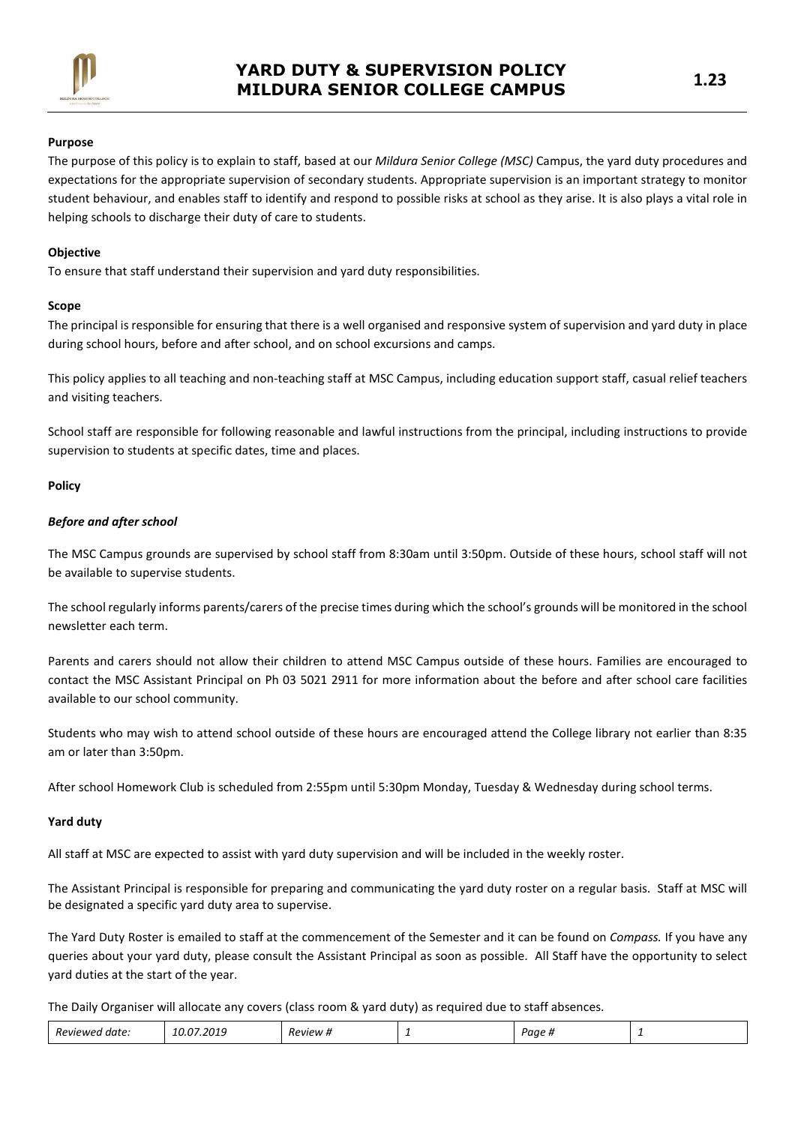

## Purpose

The purpose of this policy is to explain to staff, based at our *Mildurg Senior College (MSC)* Campus, the vard duty procedures and expectations for the appropriate supervision of secondary students. Appropriate supervision is an important strategy to monitor student behaviour, and enables staff to identify and respond to possible risks at school as they arise. It is also plays a vital role in helping schools to discharge their duty of care to students.

#### **Objective**

To ensure that staff understand their supervision and yard duty responsibilities.

#### Scope

The principal is responsible for ensuring that there is a well organised and responsive system of supervision and yard duty in place during school hours, before and after school, and on school excursions and camps.

This policy applies to all teaching and non-teaching staff at MSC Campus, including education support staff, casual relief teachers and visiting teachers.

School staff are responsible for following reasonable and lawful instructions from the principal, including instructions to provide supervision to students at specific dates, time and places.

## Policy

#### Before and after school

The MSC Campus grounds are supervised by school staff from 8:30am until 3:50pm. Outside of these hours, school staff will not be available to supervise students.

The school regularly informs parents/carers of the precise times during which the school's grounds will be monitored in the school newsletter each term.

Parents and carers should not allow their children to attend MSC Campus outside of these hours. Families are encouraged to contact the MSC Assistant Principal on Ph 03 5021 2911 for more information about the before and after school care facilities available to our school community.

Students who may wish to attend school outside of these hours are encouraged attend the College library not earlier than 8:35 am or later than 3:50pm.

After school Homework Club is scheduled from 2:55pm until 5:30pm Monday, Tuesday & Wednesday during school terms.

#### Yard duty

All staff at MSC are expected to assist with yard duty supervision and will be included in the weekly roster.

The Assistant Principal is responsible for preparing and communicating the yard duty roster on a regular basis. Staff at MSC will be designated a specific yard duty area to supervise.

The Yard Duty Roster is emailed to staff at the commencement of the Semester and it can be found on Compass. If you have any queries about your yard duty, please consult the Assistant Principal as soon as possible. All Staff have the opportunity to select yard duties at the start of the year.

The Daily Organiser will allocate any covers (class room & yard duty) as required due to staff absences.

| -<br>201.<br>$\sim$<br>Reviewe<br>Paae<br><i>Review</i><br>† date.<br>$\bm{\pi}$<br>-<br>. |  |  |  |  |  |  |
|--------------------------------------------------------------------------------------------|--|--|--|--|--|--|
|--------------------------------------------------------------------------------------------|--|--|--|--|--|--|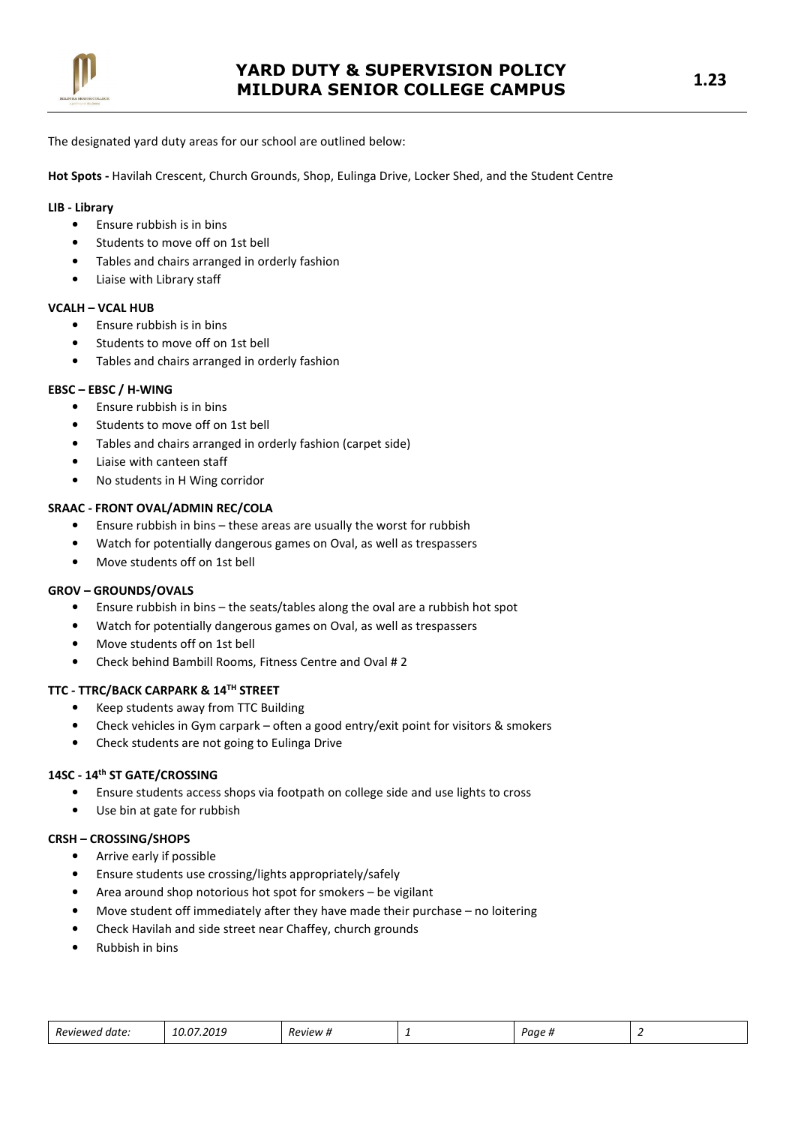

The designated yard duty areas for our school are outlined below:

Hot Spots - Havilah Crescent, Church Grounds, Shop, Eulinga Drive, Locker Shed, and the Student Centre

## LIB - Library

- Ensure rubbish is in bins
- Students to move off on 1st bell
- Tables and chairs arranged in orderly fashion
- Liaise with Library staff

## VCALH – VCAL HUB

- Ensure rubbish is in bins
- Students to move off on 1st bell
- Tables and chairs arranged in orderly fashion

## EBSC – EBSC / H-WING

- Ensure rubbish is in bins
- Students to move off on 1st bell
- Tables and chairs arranged in orderly fashion (carpet side)
- Liaise with canteen staff
- No students in H Wing corridor

## SRAAC - FRONT OVAL/ADMIN REC/COLA

- Ensure rubbish in bins these areas are usually the worst for rubbish
- Watch for potentially dangerous games on Oval, as well as trespassers
- Move students off on 1st bell

## GROV – GROUNDS/OVALS

- Ensure rubbish in bins the seats/tables along the oval are a rubbish hot spot
- Watch for potentially dangerous games on Oval, as well as trespassers
- Move students off on 1st bell
- Check behind Bambill Rooms, Fitness Centre and Oval # 2

# TTC - TTRC/BACK CARPARK & 14TH STREET

- Keep students away from TTC Building
- Check vehicles in Gym carpark often a good entry/exit point for visitors & smokers
- Check students are not going to Eulinga Drive

## 14SC - 14th ST GATE/CROSSING

- Ensure students access shops via footpath on college side and use lights to cross
- Use bin at gate for rubbish

# CRSH – CROSSING/SHOPS

- Arrive early if possible
- Ensure students use crossing/lights appropriately/safely
- Area around shop notorious hot spot for smokers be vigilant
- Move student off immediately after they have made their purchase no loitering
- Check Havilah and side street near Chaffey, church grounds
- Rubbish in bins

| Reviewed date: | 10.07.2019 | -<br><i>Review</i> # | - | Paae <sub>n</sub> |  |
|----------------|------------|----------------------|---|-------------------|--|
|----------------|------------|----------------------|---|-------------------|--|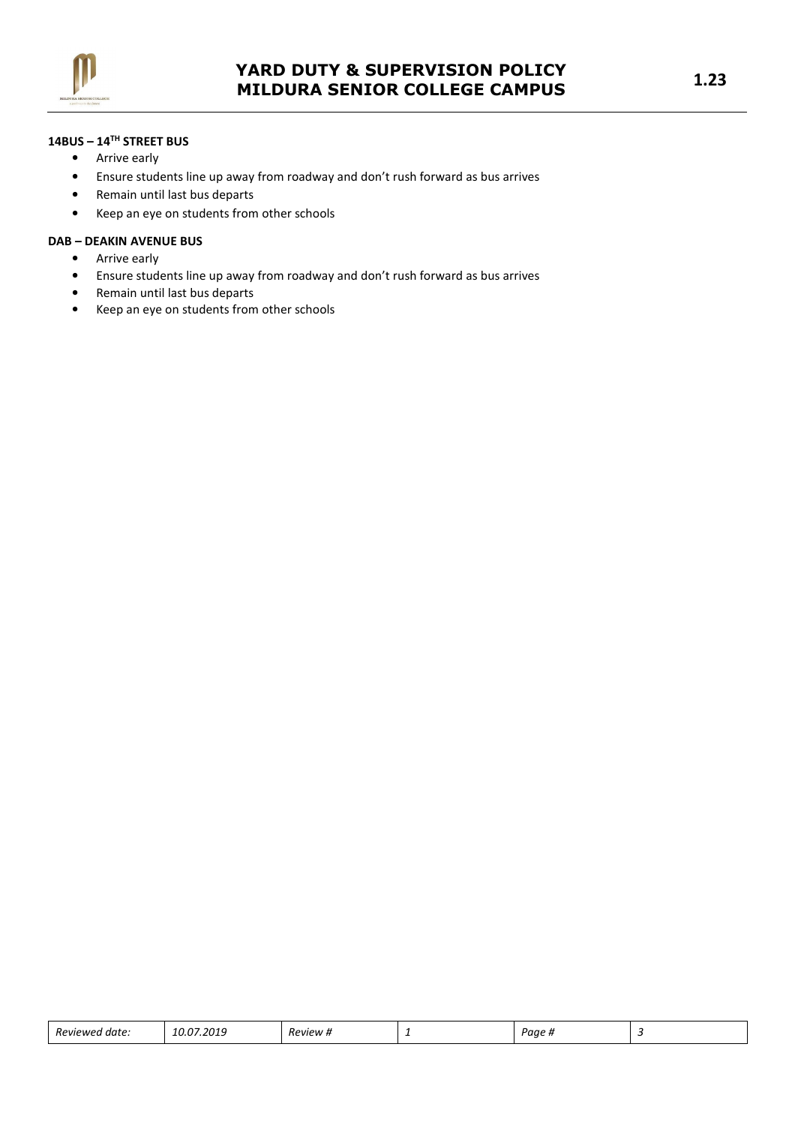

# 14BUS – 14TH STREET BUS

- Arrive early
- Ensure students line up away from roadway and don't rush forward as bus arrives
- Remain until last bus departs
- Keep an eye on students from other schools

## DAB – DEAKIN AVENUE BUS

- Arrive early
- Ensure students line up away from roadway and don't rush forward as bus arrives
- Remain until last bus departs
- Keep an eye on students from other schools

| $\overline{\phantom{0}}$<br>Revie<br>аате<br>$\cdots$<br>. | 50a.<br>20<br>. | Review | - | Paae |  |
|------------------------------------------------------------|-----------------|--------|---|------|--|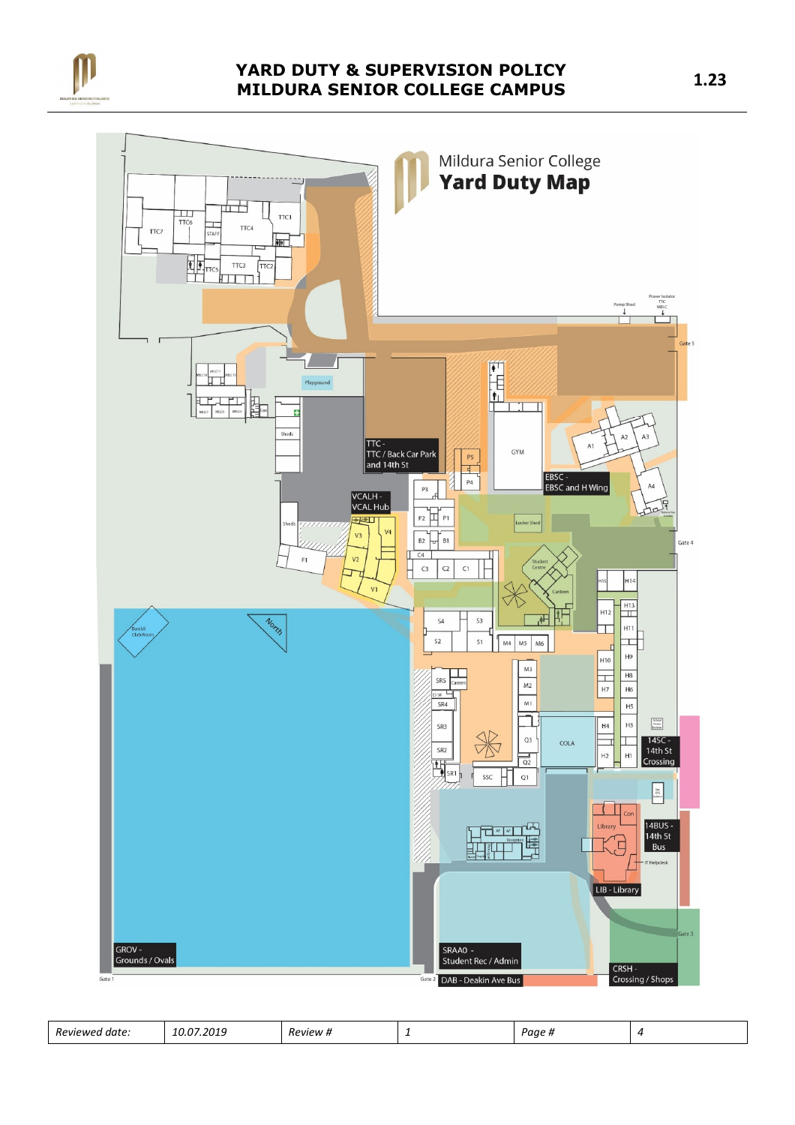

# YARD DUTY & SUPERVISION POLICY MILDURA SENIOR COLLEGE CAMPUS 1.23



| Reviewed<br>.<br>$\sim$<br>∽<br>7.2019<br>Paa<br>date.<br><i><b>Review #</b></i><br>,,,,,<br>- 14<br>. .<br>-<br>___<br>_____ |  |
|-------------------------------------------------------------------------------------------------------------------------------|--|
|-------------------------------------------------------------------------------------------------------------------------------|--|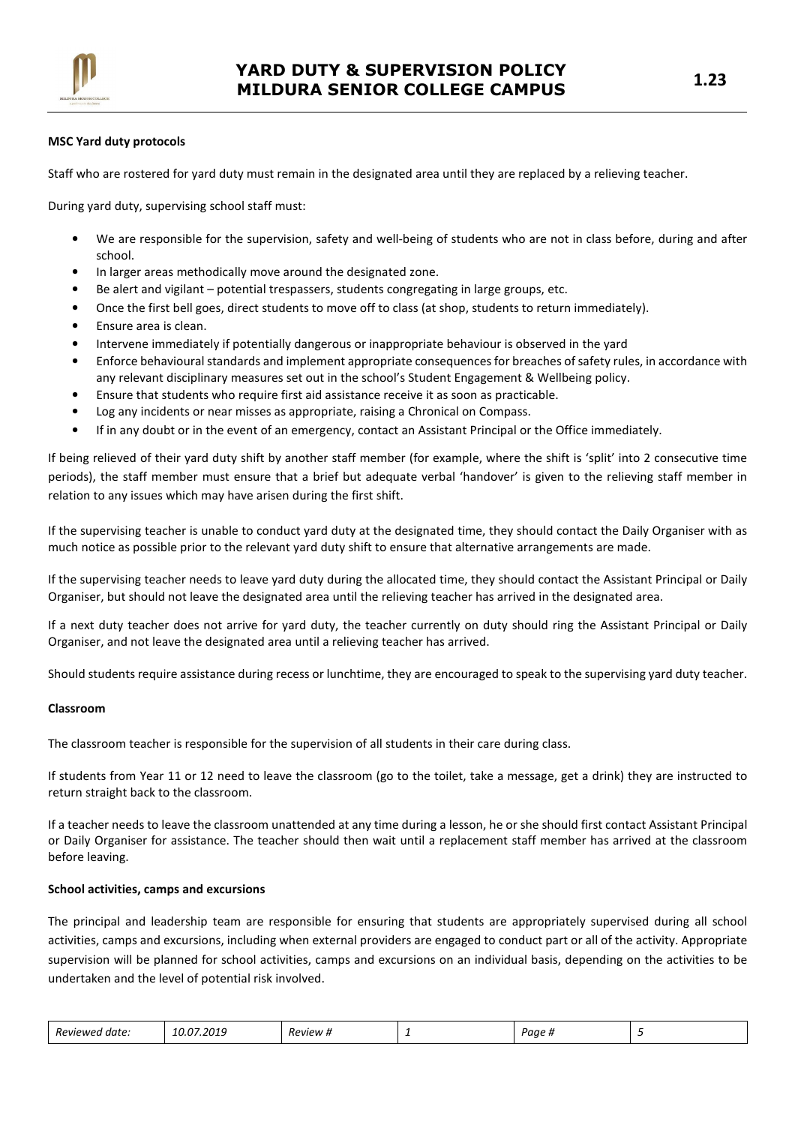

## MSC Yard duty protocols

Staff who are rostered for yard duty must remain in the designated area until they are replaced by a relieving teacher.

During yard duty, supervising school staff must:

- We are responsible for the supervision, safety and well-being of students who are not in class before, during and after school.
- In larger areas methodically move around the designated zone.
- Be alert and vigilant potential trespassers, students congregating in large groups, etc.
- Once the first bell goes, direct students to move off to class (at shop, students to return immediately).
- Ensure area is clean.
- Intervene immediately if potentially dangerous or inappropriate behaviour is observed in the yard
- Enforce behavioural standards and implement appropriate consequences for breaches of safety rules, in accordance with any relevant disciplinary measures set out in the school's Student Engagement & Wellbeing policy.
- Ensure that students who require first aid assistance receive it as soon as practicable.
- Log any incidents or near misses as appropriate, raising a Chronical on Compass.
- If in any doubt or in the event of an emergency, contact an Assistant Principal or the Office immediately.

If being relieved of their yard duty shift by another staff member (for example, where the shift is 'split' into 2 consecutive time periods), the staff member must ensure that a brief but adequate verbal 'handover' is given to the relieving staff member in relation to any issues which may have arisen during the first shift.

If the supervising teacher is unable to conduct yard duty at the designated time, they should contact the Daily Organiser with as much notice as possible prior to the relevant yard duty shift to ensure that alternative arrangements are made.

If the supervising teacher needs to leave yard duty during the allocated time, they should contact the Assistant Principal or Daily Organiser, but should not leave the designated area until the relieving teacher has arrived in the designated area.

If a next duty teacher does not arrive for yard duty, the teacher currently on duty should ring the Assistant Principal or Daily Organiser, and not leave the designated area until a relieving teacher has arrived.

Should students require assistance during recess or lunchtime, they are encouraged to speak to the supervising yard duty teacher.

#### Classroom

The classroom teacher is responsible for the supervision of all students in their care during class.

If students from Year 11 or 12 need to leave the classroom (go to the toilet, take a message, get a drink) they are instructed to return straight back to the classroom.

If a teacher needs to leave the classroom unattended at any time during a lesson, he or she should first contact Assistant Principal or Daily Organiser for assistance. The teacher should then wait until a replacement staff member has arrived at the classroom before leaving.

## School activities, camps and excursions

The principal and leadership team are responsible for ensuring that students are appropriately supervised during all school activities, camps and excursions, including when external providers are engaged to conduct part or all of the activity. Appropriate supervision will be planned for school activities, camps and excursions on an individual basis, depending on the activities to be undertaken and the level of potential risk involved.

| <b>Reviewed</b><br>I date: | במ ח<br><b>2010</b><br>10.U/<br>7.2013 | Review # | - | Paae <sub>n</sub> |  |
|----------------------------|----------------------------------------|----------|---|-------------------|--|
|----------------------------|----------------------------------------|----------|---|-------------------|--|